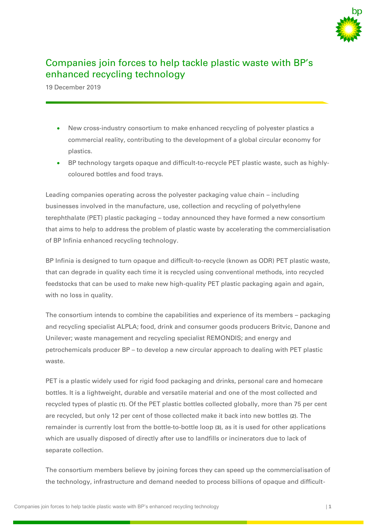

# Companies join forces to help tackle plastic waste with BP's enhanced recycling technology

19 December 2019

- New cross-industry consortium to make enhanced recycling of polyester plastics a commercial reality, contributing to the development of a global circular economy for plastics.
- BP technology targets opaque and difficult-to-recycle PET plastic waste, such as highlycoloured bottles and food trays.

Leading companies operating across the polyester packaging value chain – including businesses involved in the manufacture, use, collection and recycling of polyethylene terephthalate (PET) plastic packaging – today announced they have formed a new consortium that aims to help to address the problem of plastic waste by accelerating the commercialisation of BP Infinia enhanced recycling technology.

BP Infinia is designed to turn opaque and difficult-to-recycle (known as ODR) PET plastic waste, that can degrade in quality each time it is recycled using conventional methods, into recycled feedstocks that can be used to make new high-quality PET plastic packaging again and again, with no loss in quality.

The consortium intends to combine the capabilities and experience of its members – packaging and recycling specialist ALPLA; food, drink and consumer goods producers Britvic, Danone and Unilever; waste management and recycling specialist REMONDIS; and energy and petrochemicals producer BP – to develop a new circular approach to dealing with PET plastic waste.

PET is a plastic widely used for rigid food packaging and drinks, personal care and homecare bottles. It is a lightweight, durable and versatile material and one of the most collected and recycled types of plastic **(1)**. Of the PET plastic bottles collected globally, more than 75 per cent are recycled, but only 12 per cent of those collected make it back into new bottles **(2)**. The remainder is currently lost from the bottle-to-bottle loop **(3)**, as it is used for other applications which are usually disposed of directly after use to landfills or incinerators due to lack of separate collection.

The consortium members believe by joining forces they can speed up the commercialisation of the technology, infrastructure and demand needed to process billions of opaque and difficult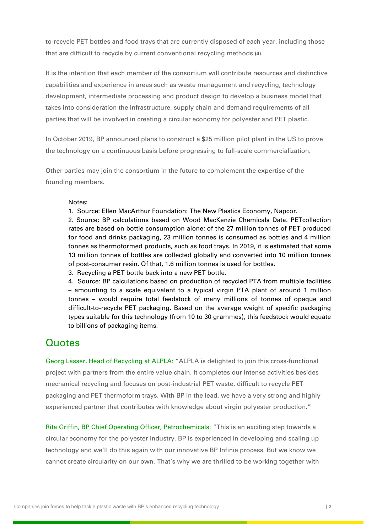to-recycle PET bottles and food trays that are currently disposed of each year, including those that are difficult to recycle by current conventional recycling methods **(4)**.

It is the intention that each member of the consortium will contribute resources and distinctive capabilities and experience in areas such as waste management and recycling, technology development, intermediate processing and product design to develop a business model that takes into consideration the infrastructure, supply chain and demand requirements of all parties that will be involved in creating a circular economy for polyester and PET plastic.

In October 2019, BP announced plans to construct a \$25 million pilot plant in the US to prove the technology on a continuous basis before progressing to full-scale commercialization.

Other parties may join the consortium in the future to complement the expertise of the founding members.

### Notes:

1. Source: Ellen MacArthur Foundation: The New Plastics Economy, Napcor.

2. Source: BP calculations based on Wood MacKenzie Chemicals Data. PETcollection rates are based on bottle consumption alone; of the 27 million tonnes of PET produced for food and drinks packaging, 23 million tonnes is consumed as bottles and 4 million tonnes as thermoformed products, such as food trays. In 2019, it is estimated that some 13 million tonnes of bottles are collected globally and converted into 10 million tonnes of post-consumer resin. Of that, 1.6 million tonnes is used for bottles.

3. Recycling a PET bottle back into a new PET bottle.

4. Source: BP calculations based on production of recycled PTA from multiple facilities – amounting to a scale equivalent to a typical virgin PTA plant of around 1 million tonnes – would require total feedstock of many millions of tonnes of opaque and difficult-to-recycle PET packaging. Based on the average weight of specific packaging types suitable for this technology (from 10 to 30 grammes), this feedstock would equate to billions of packaging items.

# **Quotes**

Georg Lässer, Head of Recycling at ALPLA: "ALPLA is delighted to join this cross-functional project with partners from the entire value chain. It completes our intense activities besides mechanical recycling and focuses on post-industrial PET waste, difficult to recycle PET packaging and PET thermoform trays. With BP in the lead, we have a very strong and highly experienced partner that contributes with knowledge about virgin polyester production."

Rita Griffin, BP Chief Operating Officer, Petrochemicals: "This is an exciting step towards a circular economy for the polyester industry. BP is experienced in developing and scaling up technology and we'll do this again with our innovative BP Infinia process. But we know we cannot create circularity on our own. That's why we are thrilled to be working together with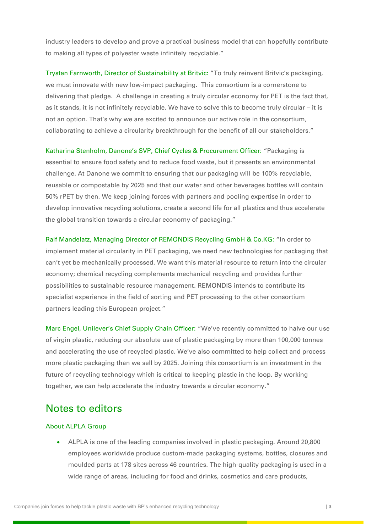industry leaders to develop and prove a practical business model that can hopefully contribute to making all types of polyester waste infinitely recyclable."

Trystan Farnworth, Director of Sustainability at Britvic: "To truly reinvent Britvic's packaging, we must innovate with new low-impact packaging. This consortium is a cornerstone to delivering that pledge. A challenge in creating a truly circular economy for PET is the fact that, as it stands, it is not infinitely recyclable. We have to solve this to become truly circular – it is not an option. That's why we are excited to announce our active role in the consortium, collaborating to achieve a circularity breakthrough for the benefit of all our stakeholders."

Katharina Stenholm, Danone's SVP, Chief Cycles & Procurement Officer: "Packaging is essential to ensure food safety and to reduce food waste, but it presents an environmental challenge. At Danone we commit to ensuring that our packaging will be 100% recyclable, reusable or compostable by 2025 and that our water and other beverages bottles will contain 50% rPET by then. We keep joining forces with partners and pooling expertise in order to develop innovative recycling solutions, create a second life for all plastics and thus accelerate the global transition towards a circular economy of packaging."

Ralf Mandelatz, Managing Director of REMONDIS Recycling GmbH & Co.KG: "In order to implement material circularity in PET packaging, we need new technologies for packaging that can't yet be mechanically processed. We want this material resource to return into the circular economy; chemical recycling complements mechanical recycling and provides further possibilities to sustainable resource management. REMONDIS intends to contribute its specialist experience in the field of sorting and PET processing to the other consortium partners leading this European project."

Marc Engel, Unilever's Chief Supply Chain Officer: "We've recently committed to halve our use of virgin plastic, reducing our absolute use of plastic packaging by more than 100,000 tonnes and accelerating the use of recycled plastic. We've also committed to help collect and process more plastic packaging than we sell by 2025. Joining this consortium is an investment in the future of recycling technology which is critical to keeping plastic in the loop. By working together, we can help accelerate the industry towards a circular economy."

# Notes to editors

## About ALPLA Group

• ALPLA is one of the leading companies involved in plastic packaging. Around 20,800 employees worldwide produce custom-made packaging systems, bottles, closures and moulded parts at 178 sites across 46 countries. The high-quality packaging is used in a wide range of areas, including for food and drinks, cosmetics and care products,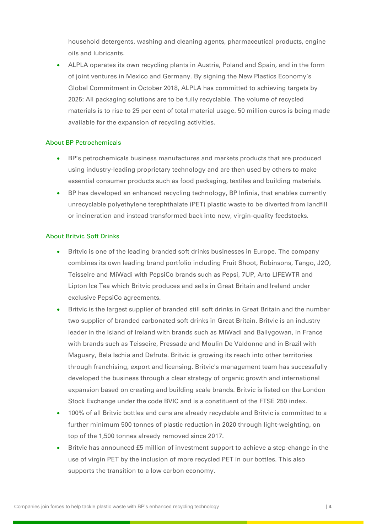household detergents, washing and cleaning agents, pharmaceutical products, engine oils and lubricants.

• ALPLA operates its own recycling plants in Austria, Poland and Spain, and in the form of joint ventures in Mexico and Germany. By signing the New Plastics Economy's Global Commitment in October 2018, ALPLA has committed to achieving targets by 2025: All packaging solutions are to be fully recyclable. The volume of recycled materials is to rise to 25 per cent of total material usage. 50 million euros is being made available for the expansion of recycling activities.

### About BP Petrochemicals

- BP's petrochemicals business manufactures and markets products that are produced using industry-leading proprietary technology and are then used by others to make essential consumer products such as food packaging, textiles and building materials.
- BP has developed an enhanced recycling technology, BP Infinia, that enables currently unrecyclable polyethylene terephthalate (PET) plastic waste to be diverted from landfill or incineration and instead transformed back into new, virgin-quality feedstocks.

#### About Britvic Soft Drinks

- Britvic is one of the leading branded soft drinks businesses in Europe. The company combines its own leading brand portfolio including Fruit Shoot, Robinsons, Tango, J2O, Teisseire and MiWadi with PepsiCo brands such as Pepsi, 7UP, Arto LIFEWTR and Lipton Ice Tea which Britvic produces and sells in Great Britain and Ireland under exclusive PepsiCo agreements.
- Britvic is the largest supplier of branded still soft drinks in Great Britain and the number two supplier of branded carbonated soft drinks in Great Britain. Britvic is an industry leader in the island of Ireland with brands such as MiWadi and Ballygowan, in France with brands such as Teisseire, Pressade and Moulin De Valdonne and in Brazil with Maguary, Bela Ischia and Dafruta. Britvic is growing its reach into other territories through franchising, export and licensing. Britvic's management team has successfully developed the business through a clear strategy of organic growth and international expansion based on creating and building scale brands. Britvic is listed on the London Stock Exchange under the code BVIC and is a constituent of the FTSE 250 index.
- 100% of all Britvic bottles and cans are already recyclable and Britvic is committed to a further minimum 500 tonnes of plastic reduction in 2020 through light-weighting, on top of the 1,500 tonnes already removed since 2017.
- Britvic has announced £5 million of investment support to achieve a step-change in the use of virgin PET by the inclusion of more recycled PET in our bottles. This also supports the transition to a low carbon economy.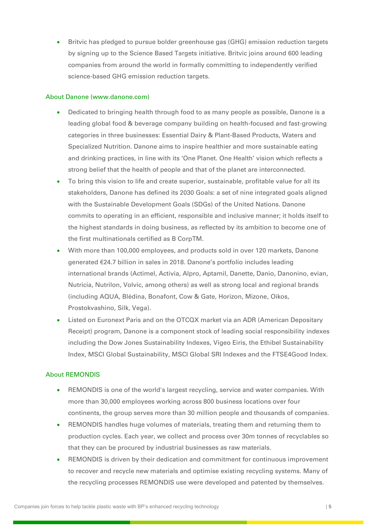• Britvic has pledged to pursue bolder greenhouse gas (GHG) emission reduction targets by signing up to the Science Based Targets initiative. Britvic joins around 600 leading companies from around the world in formally committing to independently verified science-based GHG emission reduction targets.

### About Danone (www.danone.com)

- Dedicated to bringing health through food to as many people as possible, Danone is a leading global food & beverage company building on health-focused and fast-growing categories in three businesses: Essential Dairy & Plant-Based Products, Waters and Specialized Nutrition. Danone aims to inspire healthier and more sustainable eating and drinking practices, in line with its 'One Planet. One Health' vision which reflects a strong belief that the health of people and that of the planet are interconnected.
- To bring this vision to life and create superior, sustainable, profitable value for all its stakeholders, Danone has defined its 2030 Goals: a set of nine integrated goals aligned with the Sustainable Development Goals (SDGs) of the United Nations. Danone commits to operating in an efficient, responsible and inclusive manner; it holds itself to the highest standards in doing business, as reflected by its ambition to become one of the first multinationals certified as B CorpTM.
- With more than 100,000 employees, and products sold in over 120 markets, Danone generated €24.7 billion in sales in 2018. Danone's portfolio includes leading international brands (Actimel, Activia, Alpro, Aptamil, Danette, Danio, Danonino, evian, Nutricia, Nutrilon, Volvic, among others) as well as strong local and regional brands (including AQUA, Blédina, Bonafont, Cow & Gate, Horizon, Mizone, Oikos, Prostokvashino, Silk, Vega).
- Listed on Euronext Paris and on the OTCQX market via an ADR (American Depositary Receipt) program, Danone is a component stock of leading social responsibility indexes including the Dow Jones Sustainability Indexes, Vigeo Eiris, the Ethibel Sustainability Index, MSCI Global Sustainability, MSCI Global SRI Indexes and the FTSE4Good Index.

#### About REMONDIS

- REMONDIS is one of the world's largest recycling, service and water companies. With more than 30,000 employees working across 800 business locations over four continents, the group serves more than 30 million people and thousands of companies.
- REMONDIS handles huge volumes of materials, treating them and returning them to production cycles. Each year, we collect and process over 30m tonnes of recyclables so that they can be procured by industrial businesses as raw materials.
- REMONDIS is driven by their dedication and commitment for continuous improvement to recover and recycle new materials and optimise existing recycling systems. Many of the recycling processes REMONDIS use were developed and patented by themselves.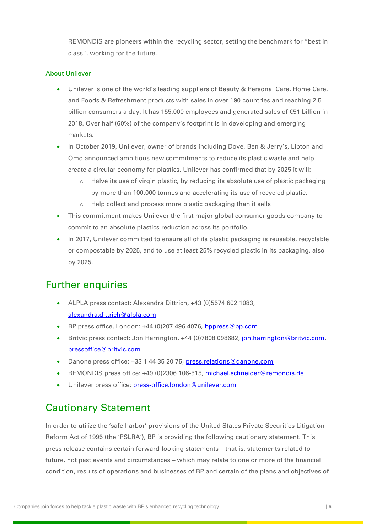REMONDIS are pioneers within the recycling sector, setting the benchmark for "best in class", working for the future.

## About Unilever

- Unilever is one of the world's leading suppliers of Beauty & Personal Care, Home Care, and Foods & Refreshment products with sales in over 190 countries and reaching 2.5 billion consumers a day. It has 155,000 employees and generated sales of €51 billion in 2018. Over half (60%) of the company's footprint is in developing and emerging markets.
- In October 2019, Unilever, owner of brands including Dove, Ben & Jerry's, Lipton and Omo announced ambitious new commitments to reduce its plastic waste and help create a circular economy for plastics. Unilever has confirmed that by 2025 it will:
	- $\circ$  Halve its use of virgin plastic, by reducing its absolute use of plastic packaging by more than 100,000 tonnes and accelerating its use of recycled plastic.
	- o Help collect and process more plastic packaging than it sells
- This commitment makes Unilever the first major global consumer goods company to commit to an absolute plastics reduction across its portfolio.
- In 2017, Unilever committed to ensure all of its plastic packaging is reusable, recyclable or compostable by 2025, and to use at least 25% recycled plastic in its packaging, also by 2025.

# Further enquiries

- ALPLA press contact: Alexandra Dittrich, +43 (0)5574 602 1083, [alexandra.dittrich@alpla.com](mailto:alexandra.dittrich@alpla.com)
- BP press office, London: +44 (0)207 496 4076, [bppress@bp.com](mailto:bppress@bp.com)
- Britvic press contact: Jon Harrington, +44 (0)7808 098682, [jon.harrington@britvic.com,](mailto:jon.harrington@britvic.com) [pressoffice@britvic.com](mailto:pressoffice@britvic.com)
- Danone press office: +33 1 44 35 20 75, [press.relations@danone.com](mailto:press.relations@danone.com)
- REMONDIS press office: +49 (0)2306 106-515, [michael.schneider@remondis.de](mailto:michael.schneider@remondis.de)
- Unilever press office: [press-office.london@unilever.com](mailto:press-office.london@unilever.com)

# Cautionary Statement

In order to utilize the 'safe harbor' provisions of the United States Private Securities Litigation Reform Act of 1995 (the 'PSLRA'), BP is providing the following cautionary statement. This press release contains certain forward-looking statements – that is, statements related to future, not past events and circumstances – which may relate to one or more of the financial condition, results of operations and businesses of BP and certain of the plans and objectives of